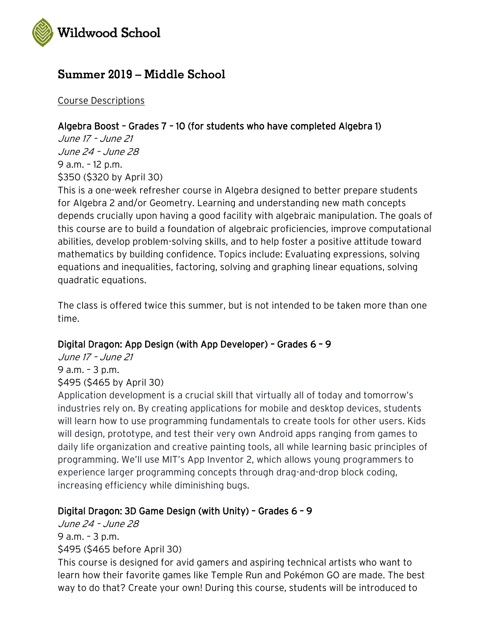

# **Summer 2019 – Middle School**

Course Descriptions

## Algebra Boost – Grades 7 – 10 (for students who have completed Algebra 1)

June 17 – June 21 June 24 – June 28 9 a.m. – 12 p.m. \$350 (\$320 by April 30)

This is a one-week refresher course in Algebra designed to better prepare students for Algebra 2 and/or Geometry. Learning and understanding new math concepts depends crucially upon having a good facility with algebraic manipulation. The goals of this course are to build a foundation of algebraic proficiencies, improve computational abilities, develop problem-solving skills, and to help foster a positive attitude toward mathematics by building confidence. Topics include: Evaluating expressions, solving equations and inequalities, factoring, solving and graphing linear equations, solving quadratic equations.

The class is offered twice this summer, but is not intended to be taken more than one time.

### Digital Dragon: App Design (with App Developer) – Grades 6 – 9

June 17 – June 21 9 a.m. – 3 p.m. \$495 (\$465 by April 30)

Application development is a crucial skill that virtually all of today and tomorrow's industries rely on. By creating applications for mobile and desktop devices, students will learn how to use programming fundamentals to create tools for other users. Kids will design, prototype, and test their very own Android apps ranging from games to daily life organization and creative painting tools, all while learning basic principles of programming. We'll use MIT's App Inventor 2, which allows young programmers to experience larger programming concepts through drag-and-drop block coding, increasing efficiency while diminishing bugs.

### Digital Dragon: 3D Game Design (with Unity) – Grades 6 – 9

June 24 – June 28 9 a.m. – 3 p.m. \$495 (\$465 before April 30)

This course is designed for avid gamers and aspiring technical artists who want to learn how their favorite games like Temple Run and Pokémon GO are made. The best way to do that? Create your own! During this course, students will be introduced to